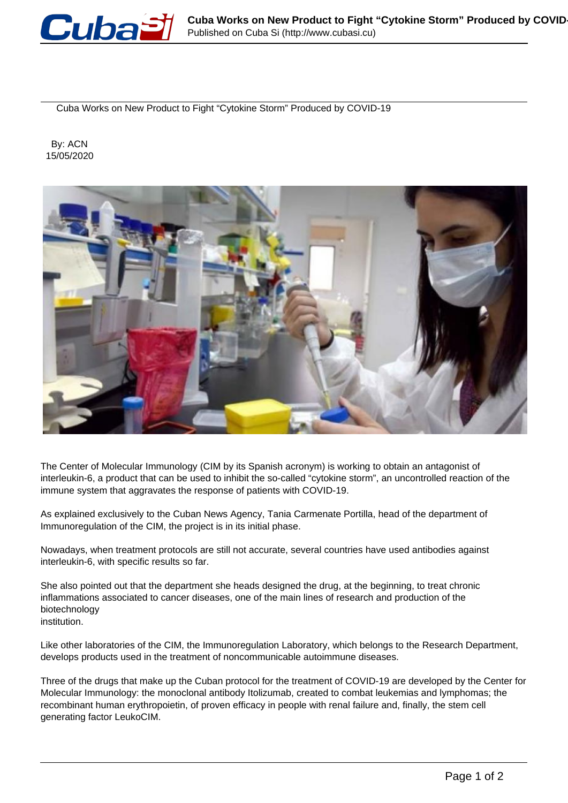

Cuba Works on New Product to Fight "Cytokine Storm" Produced by COVID-19

 By: ACN 15/05/2020



The Center of Molecular Immunology (CIM by its Spanish acronym) is working to obtain an antagonist of interleukin-6, a product that can be used to inhibit the so-called "cytokine storm", an uncontrolled reaction of the immune system that aggravates the response of patients with COVID-19.

As explained exclusively to the Cuban News Agency, Tania Carmenate Portilla, head of the department of Immunoregulation of the CIM, the project is in its initial phase.

Nowadays, when treatment protocols are still not accurate, several countries have used antibodies against interleukin-6, with specific results so far.

She also pointed out that the department she heads designed the drug, at the beginning, to treat chronic inflammations associated to cancer diseases, one of the main lines of research and production of the biotechnology institution.

Like other laboratories of the CIM, the Immunoregulation Laboratory, which belongs to the Research Department, develops products used in the treatment of noncommunicable autoimmune diseases.

Three of the drugs that make up the Cuban protocol for the treatment of COVID-19 are developed by the Center for Molecular Immunology: the monoclonal antibody Itolizumab, created to combat leukemias and lymphomas; the recombinant human erythropoietin, of proven efficacy in people with renal failure and, finally, the stem cell generating factor LeukoCIM.